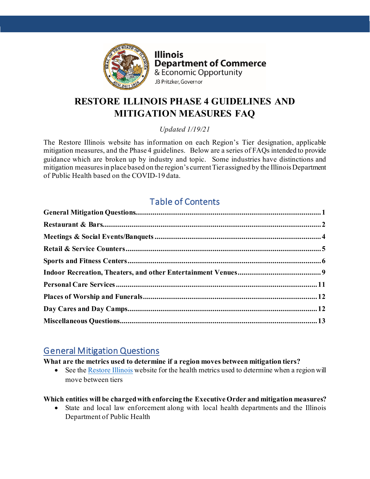

**Illinois Department of Commerce** & Economic Opportunity JB Pritzker, Governor

# **RESTORE ILLINOIS PHASE 4 GUIDELINES AND MITIGATION MEASURES FAQ**

*Updated 1/19/21*

The Restore Illinois website has information on each Region's Tier designation, applicable mitigation measures, and the Phase 4 guidelines. Below are a series of FAQs intended to provide guidance which are broken up by industry and topic. Some industries have distinctions and mitigation measures in place based on the region's current Tier assigned by the Illinois Department of Public Health based on the COVID-19 data.

# Table of Contents

# <span id="page-0-0"></span>General Mitigation Questions

## **What are the metrics used to determine if a region moves between mitigation tiers?**

• See the [Restore Illinois](https://dceoresources-ss-assets.s3.us-east-2.amazonaws.com/public/Restore-Illinois/IL-Resurgence-Mitigation-Plan.pdf) website for the health metrics used to determine when a region will move between tiers

## **Which entities will be charged with enforcing the Executive Order and mitigation measures?**

• State and local law enforcement along with local health departments and the Illinois Department of Public Health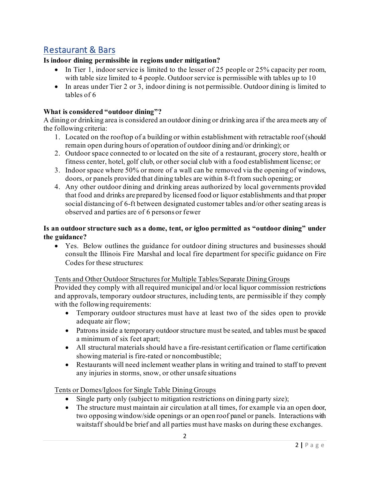# <span id="page-1-0"></span>Restaurant & Bars

## **Is indoor dining permissible in regions under mitigation?**

- In Tier 1, indoor service is limited to the lesser of 25 people or 25% capacity per room, with table size limited to 4 people. Outdoor service is permissible with tables up to 10
- In areas under Tier 2 or 3, indoor dining is not permissible. Outdoor dining is limited to tables of 6

#### **What is considered "outdoor dining"?**

A dining or drinking area is considered an outdoor dining or drinking area if the area meets any of the following criteria:

- 1. Located on the rooftop of a building or within establishment with retractable roof (should remain open during hours of operation of outdoor dining and/or drinking); or
- 2. Outdoor space connected to or located on the site of a restaurant, grocery store, health or fitness center, hotel, golf club, or other social club with a food establishment license; or
- 3. Indoor space where 50% or more of a wall can be removed via the opening of windows, doors, or panels provided that dining tables are within 8-ft from such opening; or
- 4. Any other outdoor dining and drinking areas authorized by local governments provided that food and drinks are prepared by licensed food or liquor establishments and that proper social distancing of 6-ft between designated customer tables and/or other seating areas is observed and parties are of 6 persons or fewer

### **Is an outdoor structure such as a dome, tent, or igloo permitted as "outdoor dining" under the guidance?**

• Yes. Below outlines the guidance for outdoor dining structures and businesses should consult the Illinois Fire Marshal and local fire department for specific guidance on Fire Codes for these structures:

#### Tents and Other Outdoor Structures for Multiple Tables/Separate Dining Groups

Provided they comply with all required municipal and/or local liquor commission restrictions and approvals, temporary outdoor structures, including tents, are permissible if they comply with the following requirements:

- Temporary outdoor structures must have at least two of the sides open to provide adequate air flow;
- Patrons inside a temporary outdoor structure must be seated, and tables must be spaced a minimum of six feet apart;
- All structural materials should have a fire-resistant certification or flame certification showing material is fire-rated or noncombustible;
- Restaurants will need inclement weather plans in writing and trained to staff to prevent any injuries in storms, snow, or other unsafe situations

Tents or Domes/Igloos for Single Table Dining Groups

- Single party only (subject to mitigation restrictions on dining party size);
- The structure must maintain air circulation at all times, for example via an open door, two opposing window/side openings or an open roof panel or panels. Interactions with waitstaff should be brief and all parties must have masks on during these exchanges.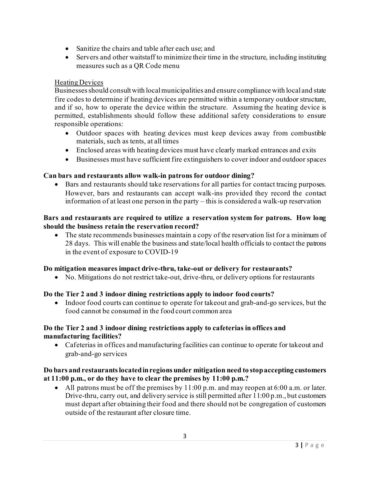- Sanitize the chairs and table after each use; and
- Servers and other waitstaff to minimize their time in the structure, including instituting measures such as a QR Code menu

### Heating Devices

Businesses should consult with local municipalities and ensure compliance with local and state fire codes to determine if heating devices are permitted within a temporary outdoor structure, and if so, how to operate the device within the structure. Assuming the heating device is permitted, establishments should follow these additional safety considerations to ensure responsible operations:

- Outdoor spaces with heating devices must keep devices away from combustible materials, such as tents, at all times
- Enclosed areas with heating devices must have clearly marked entrances and exits
- Businesses must have sufficient fire extinguishers to cover indoor and outdoor spaces

#### **Can bars and restaurants allow walk-in patrons for outdoor dining?**

• Bars and restaurants should take reservations for all parties for contact tracing purposes. However, bars and restaurants can accept walk-ins provided they record the contact information of at least one person in the party – this is considered a walk-up reservation

#### **Bars and restaurants are required to utilize a reservation system for patrons. How long should the business retain the reservation record?**

• The state recommends businesses maintain a copy of the reservation list for a minimum of 28 days. This will enable the business and state/local health officials to contact the patrons in the event of exposure to COVID-19

#### **Do mitigation measures impact drive-thru, take-out or delivery for restaurants?**

• No. Mitigations do not restrict take-out, drive-thru, or delivery options for restaurants

#### **Do the Tier 2 and 3 indoor dining restrictions apply to indoor food courts?**

• Indoor food courts can continue to operate for takeout and grab-and-go services, but the food cannot be consumed in the food court common area

#### **Do the Tier 2 and 3 indoor dining restrictions apply to cafeterias in offices and manufacturing facilities?**

• Cafeterias in offices and manufacturing facilities can continue to operate for takeout and grab-and-go services

#### **Do bars and restaurants located in regions under mitigation need to stop accepting customers at 11:00 p.m., or do they have to clear the premises by 11:00 p.m.?**

• All patrons must be off the premises by  $11:00$  p.m. and may reopen at 6:00 a.m. or later. Drive-thru, carry out, and delivery service is still permitted after 11:00 p.m., but customers must depart after obtaining their food and there should not be congregation of customers outside of the restaurant after closure time.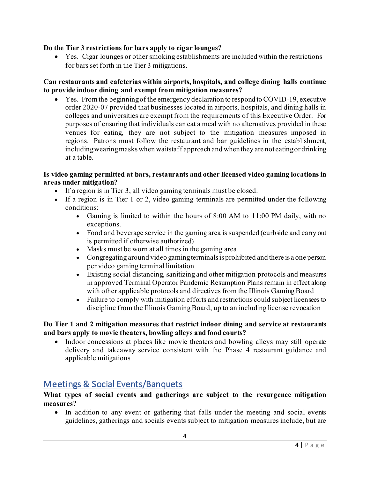### **Do the Tier 3 restrictions for bars apply to cigar lounges?**

• Yes. Cigar lounges or other smoking establishments are included within the restrictions for bars set forth in the Tier 3 mitigations.

#### **Can restaurants and cafeterias within airports, hospitals, and college dining halls continue to provide indoor dining and exempt from mitigation measures?**

• Yes. From the beginning of the emergency declaration to respond to COVID-19, executive order 2020-07 provided that businesses located in airports, hospitals, and dining halls in colleges and universities are exempt from the requirements of this Executive Order. For purposes of ensuring that individuals can eat a meal with no alternatives provided in these venues for eating, they are not subject to the mitigation measures imposed in regions. Patrons must follow the restaurant and bar guidelines in the establishment, including wearing masks when waitstaff approach and when they are not eating or drinking at a table.

#### **Is video gaming permitted at bars, restaurants and other licensed video gaming locations in areas under mitigation?**

- If a region is in Tier 3, all video gaming terminals must be closed.
- If a region is in Tier 1 or 2, video gaming terminals are permitted under the following conditions:
	- Gaming is limited to within the hours of 8:00 AM to 11:00 PM daily, with no exceptions.
	- Food and beverage service in the gaming area is suspended (curbside and carry out is permitted if otherwise authorized)
	- Masks must be worn at all times in the gaming area
	- Congregating around video gaming terminals is prohibited and there is a one person per video gaming terminal limitation
	- Existing social distancing, sanitizing and other mitigation protocols and measures in approved Terminal Operator Pandemic Resumption Plans remain in effect along with other applicable protocols and directives from the Illinois Gaming Board
	- Failure to comply with mitigation efforts and restrictions could subject licensees to discipline from the Illinois Gaming Board, up to an including license revocation

#### **Do Tier 1 and 2 mitigation measures that restrict indoor dining and service at restaurants and bars apply to movie theaters, bowling alleys and food courts?**

• Indoor concessions at places like movie theaters and bowling alleys may still operate delivery and takeaway service consistent with the Phase 4 restaurant guidance and applicable mitigations

# <span id="page-3-0"></span>Meetings & Social Events/Banquets

#### **What types of social events and gatherings are subject to the resurgence mitigation measures?**

• In addition to any event or gathering that falls under the meeting and social events guidelines, gatherings and socials events subject to mitigation measures include, but are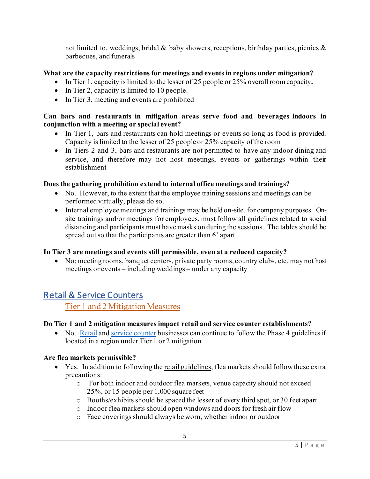not limited to, weddings, bridal  $\&$  baby showers, receptions, birthday parties, picnics  $\&$ barbecues, and funerals

#### **What are the capacity restrictions for meetings and events in regions under mitigation?**

- In Tier 1, capacity is limited to the lesser of 25 people or 25% overall room capacity**.**
- In Tier 2, capacity is limited to 10 people.
- In Tier 3, meeting and events are prohibited

#### **Can bars and restaurants in mitigation areas serve food and beverages indoors in conjunction with a meeting or special event?**

- In Tier 1, bars and restaurants can hold meetings or events so long as food is provided. Capacity is limited to the lesser of 25 people or 25% capacity of the room
- In Tiers 2 and 3, bars and restaurants are not permitted to have any indoor dining and service, and therefore may not host meetings, events or gatherings within their establishment

#### **Does the gathering prohibition extend to internal office meetings and trainings?**

- No. However, to the extent that the employee training sessions and meetings can be performed virtually, please do so.
- Internal employee meetings and trainings may be held on-site, for company purposes. Onsite trainings and/or meetings for employees, must follow all guidelines related to social distancing and participants must have masks on during the sessions. The tables should be spread out so that the participants are greater than 6' apart

#### **In Tier 3 are meetings and events still permissible, even at a reduced capacity?**

• No; meeting rooms, banquet centers, private party rooms, country clubs, etc. may not host meetings or events – including weddings – under any capacity

# <span id="page-4-0"></span>Retail & Service Counters

Tier 1 and 2 Mitigation Measures

#### **Do Tier 1 and 2 mitigation measures impact retail and service counter establishments?**

• No. [Retail](https://dceocovid19resources.com/restore-illinois/restore-illinois-phase-4/retail/) an[d service counter](https://dceocovid19resources.com/restore-illinois/restore-illinois-phase-4/service-counters/) businesses can continue to follow the Phase 4 guidelines if located in a region under Tier 1 or 2 mitigation

#### **Are flea markets permissible?**

- Yes. In addition to following the retail [guidelines,](https://dceocovid19resources.com/assets/Restore-Illinois/businessguidelines4/retail.pdf) flea markets should follow these extra precautions:
	- o For both indoor and outdoor flea markets, venue capacity should not exceed 25%, or 15 people per 1,000 square feet
	- o Booths/exhibits should be spaced the lesser of every third spot, or 30 feet apart
	- o Indoor flea markets should open windows and doors for fresh air flow
	- o Face coverings should always be worn, whether indoor or outdoor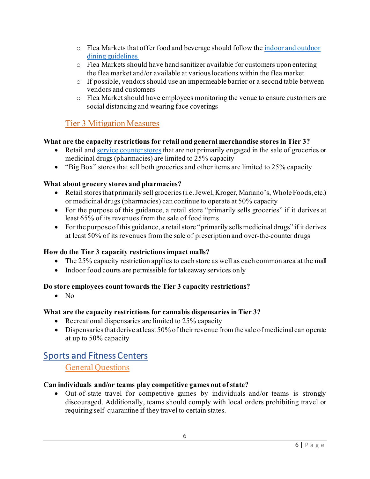- o Flea Markets that offer food and beverage should follow the indoor and [outdoor](https://dceocovid19resources.com/restore-illinois/restore-illinois-phase-4/indoor-and-outdoor-dining/) dining [guidelines](https://dceocovid19resources.com/restore-illinois/restore-illinois-phase-4/indoor-and-outdoor-dining/)
- o Flea Markets should have hand sanitizer available for customers upon entering the flea market and/or available at various locations within the flea market
- o If possible, vendors should use an impermeable barrier or a second table between vendors and customers
- o Flea Market should have employees monitoring the venue to ensure customers are social distancing and wearing face coverings

# Tier 3 Mitigation Measures

## **What are the capacity restrictions for retail and general merchandise stores in Tier 3?**

- Retail an[d service counter stores](https://dceocovid19resources.com/restore-illinois/restore-illinois-phase-4/service-counters/) that are not primarily engaged in the sale of groceries or medicinal drugs (pharmacies) are limited to 25% capacity
- "Big Box" stores that sell both groceries and other items are limited to 25% capacity

### **What about grocery stores and pharmacies?**

- Retail stores that primarily sell groceries (i.e. Jewel, Kroger, Mariano's, Whole Foods, etc.) or medicinal drugs (pharmacies) can continue to operate at 50% capacity
- For the purpose of this guidance, a retail store "primarily sells groceries" if it derives at least 65% of its revenues from the sale of food items
- For the purpose of this guidance, a retail store "primarily sells medicinal drugs" if it derives at least 50% of its revenues from the sale of prescription and over-the-counter drugs

#### **How do the Tier 3 capacity restrictions impact malls?**

- The 25% capacity restriction applies to each store as well as each common area at the mall
- Indoor food courts are permissible for takeaway services only

## **Do store employees count towards the Tier 3 capacity restrictions?**

• No

## **What are the capacity restrictions for cannabis dispensaries in Tier 3?**

- Recreational dispensaries are limited to 25% capacity
- Dispensaries that derive at least 50% of their revenue from the sale of medicinal can operate at up to 50% capacity

# <span id="page-5-0"></span>Sports and Fitness Centers

General Questions

## **Can individuals and/or teams play competitive games out of state?**

• Out-of-state travel for competitive games by individuals and/or teams is strongly discouraged. Additionally, teams should comply with local orders prohibiting travel or requiring self-quarantine if they travel to certain states.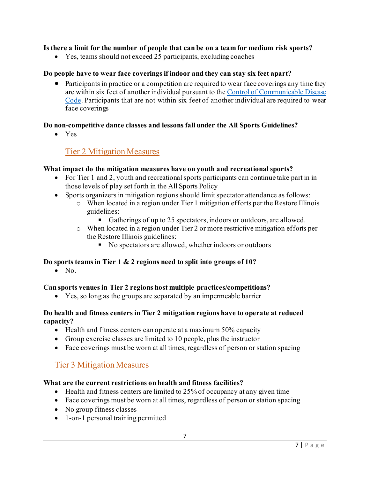#### **Is there a limit for the number of people that can be on a team for medium risk sports?**

• Yes, teams should not exceed 25 participants, excluding coaches

### **Do people have to wear face coverings if indoor and they can stay six feet apart?**

• Participants in practice or a competition are required to wear face coverings any time they are within six feet of another individual pursuant to th[e Control of Communicable Disease](http://www.dph.illinois.gov/sites/default/files/COVID19/77-690RG-E_0.pdf)  [Code.](http://www.dph.illinois.gov/sites/default/files/COVID19/77-690RG-E_0.pdf) Participants that are not within six feet of another individual are required to wear face coverings

#### **Do non-competitive dance classes and lessons fall under the All Sports Guidelines?**

• Yes

## Tier 2 Mitigation Measures

### **What impact do the mitigation measures have on youth and recreational sports?**

- For Tier 1 and 2, youth and recreational sports participants can continue take part in in those levels of play set forth in the All Sports Policy
- Sports organizers in mitigation regions should limit spectator attendance as follows:
	- o When located in a region under Tier 1 mitigation efforts per the Restore Illinois guidelines:
		- Gatherings of up to 25 spectators, indoors or outdoors, are allowed.
	- o When located in a region under Tier 2 or more restrictive mitigation efforts per the Restore Illinois guidelines:
		- No spectators are allowed, whether indoors or outdoors

#### **Do sports teams in Tier 1 & 2 regions need to split into groups of 10?**

 $\bullet$  No.

#### **Can sports venues in Tier 2 regions host multiple practices/competitions?**

• Yes, so long as the groups are separated by an impermeable barrier

#### **Do health and fitness centers in Tier 2 mitigation regions have to operate at reduced capacity?**

- Health and fitness centers can operate at a maximum 50% capacity
- Group exercise classes are limited to 10 people, plus the instructor
- Face coverings must be worn at all times, regardless of person or station spacing

# Tier 3 Mitigation Measures

## **What are the current restrictions on health and fitness facilities?**

- Health and fitness centers are limited to 25% of occupancy at any given time
- Face coverings must be worn at all times, regardless of person or station spacing
- No group fitness classes
- 1-on-1 personal training permitted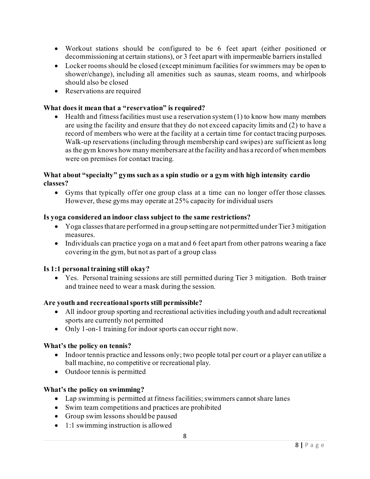- Workout stations should be configured to be 6 feet apart (either positioned or decommissioning at certain stations), or 3 feet apart with impermeable barriers installed
- Locker rooms should be closed (except minimum facilities for swimmers may be open to shower/change), including all amenities such as saunas, steam rooms, and whirlpools should also be closed
- Reservations are required

#### **What does it mean that a "reservation" is required?**

 $\bullet$  Health and fitness facilities must use a reservation system (1) to know how many members are using the facility and ensure that they do not exceed capacity limits and (2) to have a record of members who were at the facility at a certain time for contact tracing purposes. Walk-up reservations (including through membership card swipes) are sufficient as long as the gym knows how many members are at the facility and has a record of when members were on premises for contact tracing.

#### **What about "specialty" gyms such as a spin studio or a gym with high intensity cardio classes?**

• Gyms that typically offer one group class at a time can no longer offer those classes. However, these gyms may operate at 25% capacity for individual users

#### **Is yoga considered an indoor class subject to the same restrictions?**

- Yoga classes that are performed in a group setting are not permitted under Tier 3 mitigation measures.
- Individuals can practice yoga on a mat and 6 feet apart from other patrons wearing a face covering in the gym, but not as part of a group class

#### **Is 1:1 personal training still okay?**

• Yes. Personal training sessions are still permitted during Tier 3 mitigation. Both trainer and trainee need to wear a mask during the session.

#### **Are youth and recreational sports still permissible?**

- All indoor group sporting and recreational activities including youth and adult recreational sports are currently not permitted
- Only 1-on-1 training for indoor sports can occur right now.

#### **What's the policy on tennis?**

- Indoor tennis practice and lessons only; two people total per court or a player can utilize a ball machine, no competitive or recreational play.
- Outdoor tennis is permitted

#### **What's the policy on swimming?**

- Lap swimming is permitted at fitness facilities; swimmers cannot share lanes
- Swim team competitions and practices are prohibited
- Group swim lessons should be paused
- 1:1 swimming instruction is allowed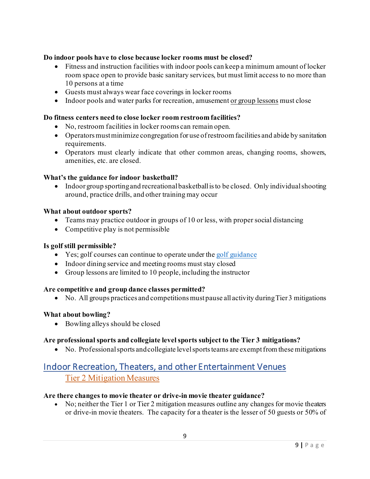### **Do indoor pools have to close because locker rooms must be closed?**

- Fitness and instruction facilities with indoor pools can keep a minimum amount of locker room space open to provide basic sanitary services, but must limit access to no more than 10 persons at a time
- Guests must always wear face coverings in locker rooms
- Indoor pools and water parks for recreation, amusement or group lessons must close

#### **Do fitness centers need to close locker room restroom facilities?**

- No, restroom facilities in locker rooms can remain open.
- Operators must minimize congregation for use ofrestroom facilities and abide by sanitation requirements.
- Operators must clearly indicate that other common areas, changing rooms, showers, amenities, etc. are closed.

#### **What's the guidance for indoor basketball?**

• Indoor group sporting and recreational basketball is to be closed. Only individual shooting around, practice drills, and other training may occur

#### **What about outdoor sports?**

- Teams may practice outdoor in groups of 10 or less, with proper social distancing
- Competitive play is not permissible

#### **Is golf still permissible?**

- Yes; golf courses can continue to operate under th[e golf guidance](https://dceocovid19resources.com/assets/Restore-Illinois/businessguidelines4/golf.pdf)
- Indoor dining service and meeting rooms must stay closed
- Group lessons are limited to 10 people, including the instructor

#### **Are competitive and group dance classes permitted?**

• No. All groups practices and competitions must pause all activity during Tier 3 mitigations

#### **What about bowling?**

• Bowling alleys should be closed

#### **Are professional sports and collegiate level sports subject to the Tier 3 mitigations?**

• No. Professional sports and collegiate level sports teams are exempt from these mitigations

# <span id="page-8-0"></span>Indoor Recreation, Theaters, and other Entertainment Venues Tier 2 Mitigation Measures

#### **Are there changes to movie theater or drive-in movie theater guidance?**

• No; neither the Tier 1 or Tier 2 mitigation measures outline any changes for movie theaters or drive-in movie theaters. The capacity for a theater is the lesser of 50 guests or 50% of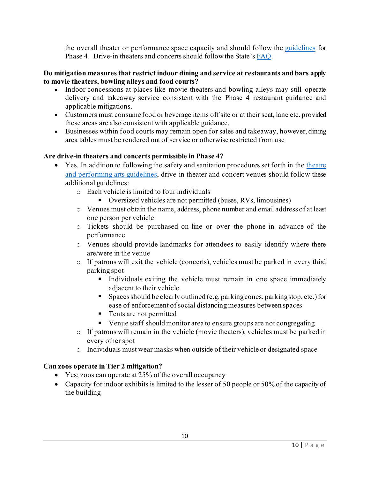the overall theater or performance space capacity and should follow the [guidelines](https://dceocovid19resources.com/assets/Restore-Illinois/businessguidelines4/theaters.pdf) for Phase 4. Drive-in theaters and concerts should follow the State'[s FAQ.](https://www2.illinois.gov/dceo/Documents/Phase%204%20Business%20Guidance%20FAQ.pdf)

#### **Do mitigation measures that restrict indoor dining and service at restaurants and bars apply to movie theaters, bowling alleys and food courts?**

- Indoor concessions at places like movie theaters and bowling alleys may still operate delivery and takeaway service consistent with the Phase 4 restaurant guidance and applicable mitigations.
- Customers must consume food or beverage items off site or at their seat, lane etc. provided these areas are also consistent with applicable guidance.
- Businesses within food courts may remain open for sales and takeaway, however, dining area tables must be rendered out of service or otherwise restricted from use

### **Are drive-in theaters and concerts permissible in Phase 4?**

- Yes. In addition to following the safety and sanitation procedures set forth in the [theatre](https://dceocovid19resources.com/assets/Restore-Illinois/businessguidelines4/theaters.pdf)  [and performing arts guidelines,](https://dceocovid19resources.com/assets/Restore-Illinois/businessguidelines4/theaters.pdf) drive-in theater and concert venues should follow these additional guidelines:
	- o Each vehicle is limited to four individuals
		- Oversized vehicles are not permitted (buses, RVs, limousines)
	- o Venues must obtain the name, address, phone number and email address of at least one person per vehicle
	- o Tickets should be purchased on-line or over the phone in advance of the performance
	- o Venues should provide landmarks for attendees to easily identify where there are/were in the venue
	- o If patrons will exit the vehicle (concerts), vehicles must be parked in every third parking spot
		- Individuals exiting the vehicle must remain in one space immediately adjacent to their vehicle
		- Spaces should be clearly outlined (e.g. parking cones, parking stop, etc.) for ease of enforcement of social distancing measures between spaces
		- Tents are not permitted
		- Venue staff should monitor area to ensure groups are not congregating
	- o If patrons will remain in the vehicle (movie theaters), vehicles must be parked in every other spot
	- o Individuals must wear masks when outside of their vehicle or designated space

#### **Can zoos operate in Tier 2 mitigation?**

- Yes; zoos can operate at 25% of the overall occupancy
- Capacity for indoor exhibits is limited to the lesser of 50 people or 50% of the capacity of the building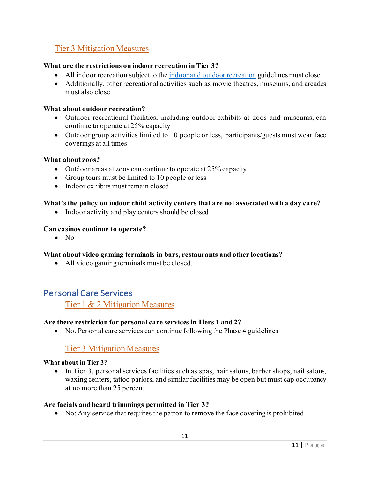## Tier 3 Mitigation Measures

#### **What are the restrictions on indoor recreation in Tier 3?**

- All indoor recreation subject to th[e indoor and outdoor recreation](https://dceocovid19resources.com/restore-illinois/restore-illinois-phase-4/indoor-and-outdoor-recreation/) guidelines must close
- Additionally, other recreational activities such as movie theatres, museums, and arcades must also close

#### **What about outdoor recreation?**

- Outdoor recreational facilities, including outdoor exhibits at zoos and museums, can continue to operate at 25% capacity
- Outdoor group activities limited to 10 people or less, participants/guests must wear face coverings at all times

#### **What about zoos?**

- Outdoor areas at zoos can continue to operate at 25% capacity
- Group tours must be limited to 10 people or less
- Indoor exhibits must remain closed

#### **What's the policy on indoor child activity centers that are not associated with a day care?**

• Indoor activity and play centers should be closed

#### **Can casinos continue to operate?**

• No

#### **What about video gaming terminals in bars, restaurants and other locations?**

• All video gaming terminals must be closed.

## <span id="page-10-0"></span>Personal Care Services

Tier 1 & 2 Mitigation Measures

#### **Are there restriction for personal care services in Tiers 1 and 2?**

• No. Personal care services can continue following the Phase 4 guidelines

## Tier 3 Mitigation Measures

#### **What about in Tier 3?**

• In Tier 3, personal services facilities such as spas, hair salons, barber shops, nail salons, waxing centers, tattoo parlors, and similar facilities may be open but must cap occupancy at no more than 25 percent

#### **Are facials and beard trimmings permitted in Tier 3?**

• No; Any service that requires the patron to remove the face covering is prohibited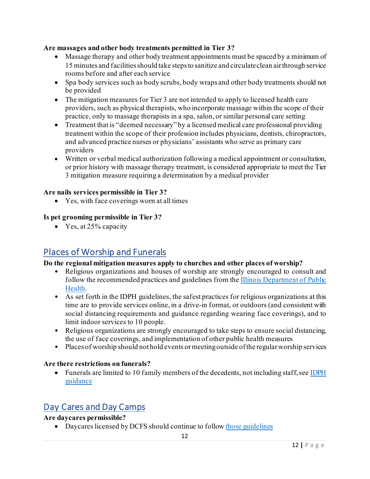### **Are massages and other body treatments permitted in Tier 3?**

- Massage therapy and other body treatment appointments must be spaced by a minimum of 15 minutes and facilities should take steps to sanitize and circulate clean air through service rooms before and after each service
- Spa body services such as body scrubs, body wraps and other body treatments should not be provided
- The mitigation measures for Tier 3 are not intended to apply to licensed health care providers, such as physical therapists, who incorporate massage within the scope of their practice, only to massage therapists in a spa, salon, or similar personal care setting
- Treatment that is "deemed necessary" by a licensed medical care professional providing treatment within the scope of their profession includes physicians, dentists, chiropractors, and advanced practice nurses or physicians' assistants who serve as primary care providers
- Written or verbal medical authorization following a medical appointment or consultation, or prior history with massage therapy treatment, is considered appropriate to meet the Tier 3 mitigation measure requiring a determination by a medical provider

### **Are nails services permissible in Tier 3?**

• Yes, with face coverings worn at all times

### **Is pet grooming permissible in Tier 3?**

• Yes, at 25% capacity

# <span id="page-11-0"></span>Places of Worship and Funerals

## **Do the regional mitigation measures apply to churches and other places of worship?**

- Religious organizations and houses of worship are strongly encouraged to consult and follow the recommended practices and guidelines from the [Illinois Department of Public](https://www.dph.illinois.gov/sites/default/files/IDPH%20COVID-19_Places_of_Worship_Guidance_11.17.20.pdf)  [Health.](https://www.dph.illinois.gov/sites/default/files/IDPH%20COVID-19_Places_of_Worship_Guidance_11.17.20.pdf)
- As set forth in the IDPH guidelines, the safest practices for religious organizations at this time are to provide services online, in a drive-in format, or outdoors (and consistent with social distancing requirements and guidance regarding wearing face coverings), and to limit indoor services to 10 people.
- Religious organizations are strongly encouraged to take steps to ensure social distancing, the use of face coverings, and implementation of other public health measures
- Places of worship should not hold events or meeting outside of the regular worship services

#### **Are there restrictions on funerals?**

• Funerals are limited to 10 family members of the decedents, not including staff, see IDPH [guidance](https://www.dph.illinois.gov/covid19/community-guidance/funeral-homes)

# <span id="page-11-1"></span>Day Cares and Day Camps

## **Are daycares permissible?**

• Daycares licensed by DCFS should continue to follo[w those guidelines](https://www2.illinois.gov/dcfs/brighterfutures/healthy/Documents/Day_Care_Guidance.pdf)